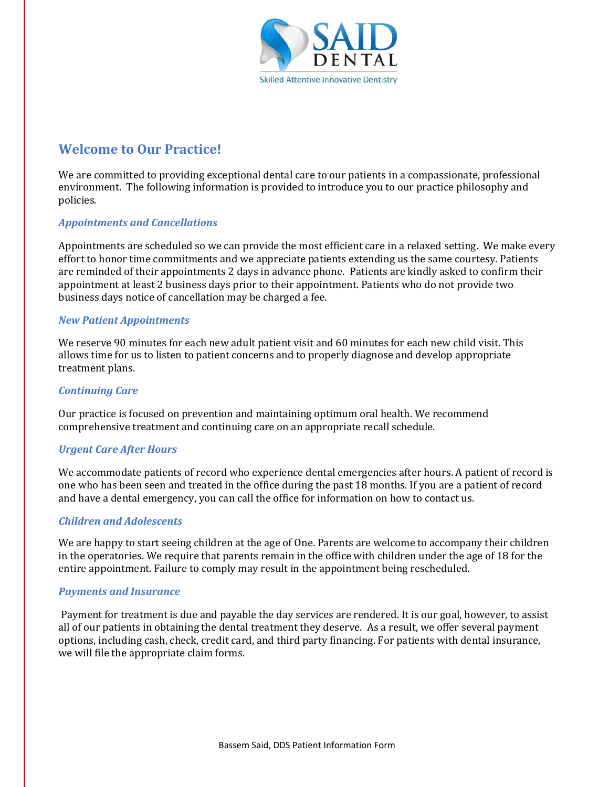

### **Welcome to Our Practice!**

We are committed to providing exceptional dental care to our patients in a compassionate, professional environment. The following information is provided to introduce you to our practice philosophy and policies.

#### **Appointments and Cancellations**

Appointments are scheduled so we can provide the most efficient care in a relaxed setting. We make every effort to honor time commitments and we appreciate patients extending us the same courtesy. Patients are reminded of their appointments 2 days in advance phone. Patients are kindly asked to confirm their appointment at least 2 business days prior to their appointment. Patients who do not provide two business days notice of cancellation may be charged a fee.

#### *New Patient Appointments*

We reserve 90 minutes for each new adult patient visit and 60 minutes for each new child visit. This allows time for us to listen to patient concerns and to properly diagnose and develop appropriate treatment plans.

#### *Continuing Care*

Our practice is focused on prevention and maintaining optimum oral health. We recommend comprehensive treatment and continuing care on an appropriate recall schedule.

#### *Urgent Care After Hours*

We accommodate patients of record who experience dental emergencies after hours. A patient of record is one who has been seen and treated in the office during the past 18 months. If you are a patient of record and have a dental emergency, you can call the office for information on how to contact us.

#### *Children and Adolescents*

We are happy to start seeing children at the age of One. Parents are welcome to accompany their children in the operatories. We require that parents remain in the office with children under the age of 18 for the entire appointment. Failure to comply may result in the appointment being rescheduled.

#### **Payments and Insurance**

Payment for treatment is due and payable the day services are rendered. It is our goal, however, to assist all of our patients in obtaining the dental treatment they deserve. As a result, we offer several payment options, including cash, check, credit card, and third party financing. For patients with dental insurance, we will file the appropriate claim forms.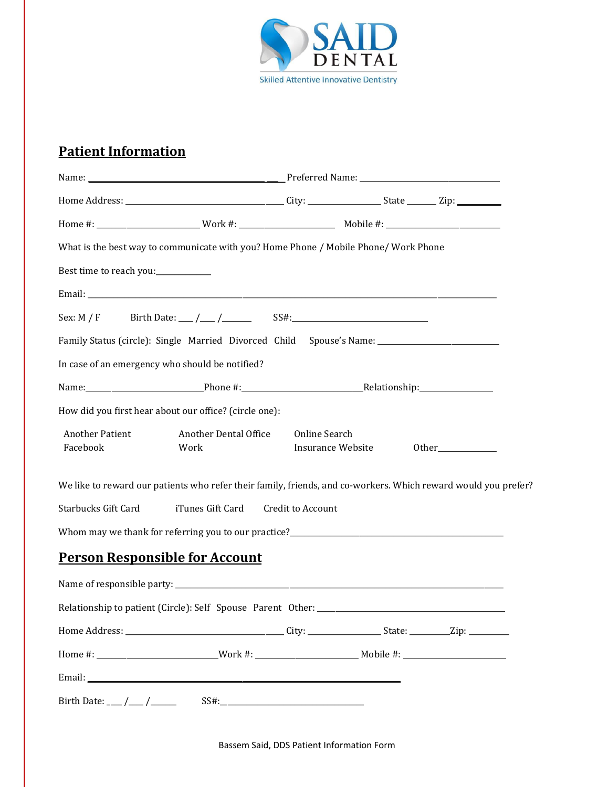

# **Patient Information**

|                                     | What is the best way to communicate with you? Home Phone / Mobile Phone/ Work Phone                  |                                    |  |                                                                                                                |  |
|-------------------------------------|------------------------------------------------------------------------------------------------------|------------------------------------|--|----------------------------------------------------------------------------------------------------------------|--|
| Best time to reach you:____________ |                                                                                                      |                                    |  |                                                                                                                |  |
|                                     |                                                                                                      |                                    |  |                                                                                                                |  |
|                                     | Sex: M / F Birth Date: $\frac{1}{\sqrt{2}}$ / SS#: SS#:                                              |                                    |  |                                                                                                                |  |
|                                     | Family Status (circle): Single Married Divorced Child Spouse's Name: _______________________________ |                                    |  |                                                                                                                |  |
|                                     | In case of an emergency who should be notified?                                                      |                                    |  |                                                                                                                |  |
|                                     |                                                                                                      |                                    |  |                                                                                                                |  |
|                                     | How did you first hear about our office? (circle one):                                               |                                    |  |                                                                                                                |  |
| <b>Another Patient</b><br>Facebook  | Another Dental Office<br>Work                                                                        | Online Search<br>Insurance Website |  | Other                                                                                                          |  |
|                                     |                                                                                                      |                                    |  | We like to reward our patients who refer their family, friends, and co-workers. Which reward would you prefer? |  |
| <b>Starbucks Gift Card</b>          | iTunes Gift Card                                                                                     | Credit to Account                  |  |                                                                                                                |  |
|                                     |                                                                                                      |                                    |  |                                                                                                                |  |
|                                     | <b>Person Responsible for Account</b>                                                                |                                    |  |                                                                                                                |  |
|                                     |                                                                                                      |                                    |  |                                                                                                                |  |
|                                     | Relationship to patient (Circle): Self Spouse Parent Other: _____________________                    |                                    |  |                                                                                                                |  |
|                                     |                                                                                                      |                                    |  |                                                                                                                |  |
|                                     |                                                                                                      |                                    |  |                                                                                                                |  |
|                                     |                                                                                                      |                                    |  |                                                                                                                |  |
|                                     |                                                                                                      |                                    |  |                                                                                                                |  |

Bassem Said, DDS Patient Information Form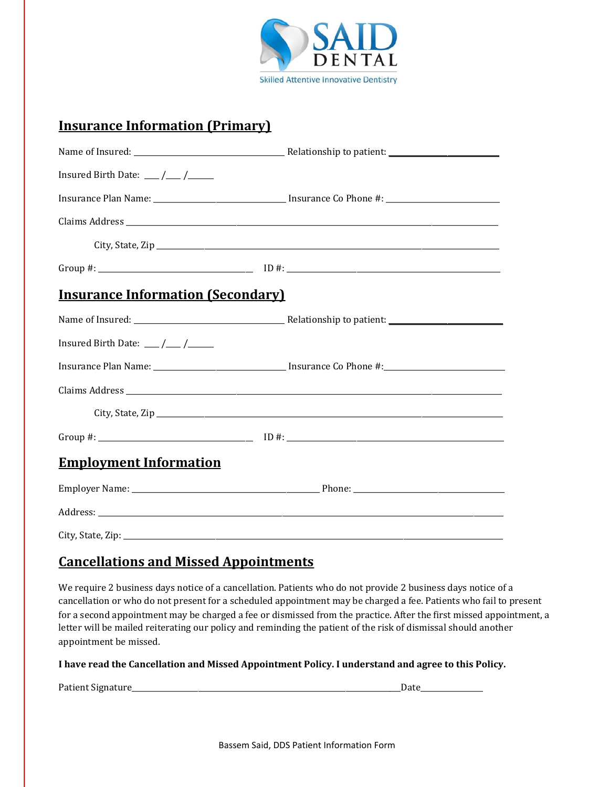

### **Insurance Information (Primary)**

| Insured Birth Date: $\frac{1}{\sqrt{1-\frac{1}{2}}}$ |  |
|------------------------------------------------------|--|
|                                                      |  |
|                                                      |  |
|                                                      |  |
|                                                      |  |
| <b>Insurance Information (Secondary)</b>             |  |
|                                                      |  |
| Insured Birth Date: $\frac{1}{\sqrt{1-\frac{1}{2}}}$ |  |
|                                                      |  |
|                                                      |  |
|                                                      |  |
|                                                      |  |
| <b>Employment Information</b>                        |  |
|                                                      |  |
|                                                      |  |
|                                                      |  |

# **Cancellations and Missed Appointments**

We require 2 business days notice of a cancellation. Patients who do not provide 2 business days notice of a cancellation or who do not present for a scheduled appointment may be charged a fee. Patients who fail to present for a second appointment may be charged a fee or dismissed from the practice. After the first missed appointment, a letter will be mailed reiterating our policy and reminding the patient of the risk of dismissal should another appointment be missed.

#### I have read the Cancellation and Missed Appointment Policy. I understand and agree to this Policy.

Patient Signature\_\_\_\_\_\_\_\_\_\_\_\_\_\_\_\_\_\_\_\_\_\_\_\_\_\_\_\_\_\_\_\_\_\_\_\_\_\_\_\_\_\_\_\_\_\_\_\_\_\_\_\_\_\_\_\_\_\_\_\_\_\_\_\_\_\_\_\_\_\_\_\_\_Date\_\_\_\_\_\_\_\_\_\_\_\_\_\_\_\_\_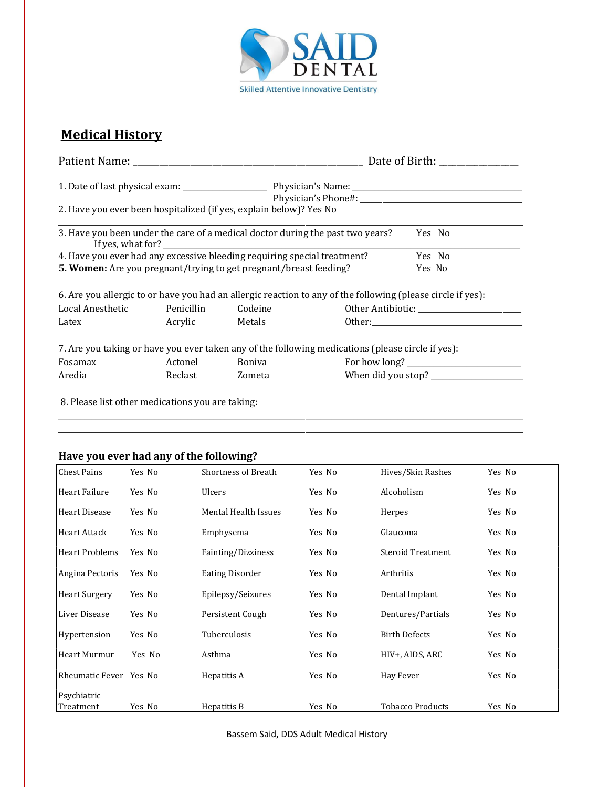

# **Medical History**

|                                                                                |                |         | Date of Birth:                                                                                              |                                                                                                                                                                                                                                                                                       |  |  |
|--------------------------------------------------------------------------------|----------------|---------|-------------------------------------------------------------------------------------------------------------|---------------------------------------------------------------------------------------------------------------------------------------------------------------------------------------------------------------------------------------------------------------------------------------|--|--|
|                                                                                |                |         |                                                                                                             |                                                                                                                                                                                                                                                                                       |  |  |
|                                                                                |                |         |                                                                                                             |                                                                                                                                                                                                                                                                                       |  |  |
| 2. Have you ever been hospitalized (if yes, explain below)? Yes No             |                |         |                                                                                                             |                                                                                                                                                                                                                                                                                       |  |  |
| 3. Have you been under the care of a medical doctor during the past two years? |                |         |                                                                                                             | Yes No                                                                                                                                                                                                                                                                                |  |  |
| 4. Have you ever had any excessive bleeding requiring special treatment?       |                |         |                                                                                                             | Yes No                                                                                                                                                                                                                                                                                |  |  |
| 5. Women: Are you pregnant/trying to get pregnant/breast feeding?              |                |         |                                                                                                             | Yes No                                                                                                                                                                                                                                                                                |  |  |
|                                                                                |                |         | 6. Are you allergic to or have you had an allergic reaction to any of the following (please circle if yes): |                                                                                                                                                                                                                                                                                       |  |  |
| Local Anesthetic                                                               | Penicillin     | Codeine |                                                                                                             |                                                                                                                                                                                                                                                                                       |  |  |
| Latex                                                                          | Acrylic Metals |         |                                                                                                             | Other: will be a state of the state of the state of the state of the state of the state of the state of the state of the state of the state of the state of the state of the state of the state of the state of the state of t                                                        |  |  |
|                                                                                |                |         | 7. Are you taking or have you ever taken any of the following medications (please circle if yes):           |                                                                                                                                                                                                                                                                                       |  |  |
| Fosamax                                                                        | Actonel        | Boniva  |                                                                                                             | For how long? $\frac{1}{2}$ [10] $\frac{1}{2}$ [10] $\frac{1}{2}$ [10] $\frac{1}{2}$ [10] $\frac{1}{2}$ [10] $\frac{1}{2}$ [10] $\frac{1}{2}$ [10] $\frac{1}{2}$ [10] $\frac{1}{2}$ [10] $\frac{1}{2}$ [10] $\frac{1}{2}$ [10] $\frac{1}{2}$ [10] $\frac{1}{2}$ [10] $\frac{1}{2}$ [1 |  |  |
| Aredia                                                                         | Reclast        | Zometa  |                                                                                                             |                                                                                                                                                                                                                                                                                       |  |  |
|                                                                                |                |         |                                                                                                             |                                                                                                                                                                                                                                                                                       |  |  |

\_\_\_\_\_\_\_\_\_\_\_\_\_\_\_\_\_\_\_\_\_\_\_\_\_\_\_\_\_\_\_\_\_\_\_\_\_\_\_\_\_\_\_\_\_\_\_\_\_\_\_\_\_\_\_\_\_\_\_\_\_\_\_\_\_\_\_\_\_\_\_\_\_\_\_\_\_\_\_\_\_\_\_\_\_\_\_\_\_\_\_\_\_\_\_\_\_\_\_\_\_\_\_\_\_\_\_\_\_\_\_\_\_\_\_\_\_\_\_\_\_\_\_\_\_\_ \_\_\_\_\_\_\_\_\_\_\_\_\_\_\_\_\_\_\_\_\_\_\_\_\_\_\_\_\_\_\_\_\_\_\_\_\_\_\_\_\_\_\_\_\_\_\_\_\_\_\_\_\_\_\_\_\_\_\_\_\_\_\_\_\_\_\_\_\_\_\_\_\_\_\_\_\_\_\_\_\_\_\_\_\_\_\_\_\_\_\_\_\_\_\_\_\_\_\_\_\_\_\_\_\_\_\_\_\_\_\_\_\_\_\_\_\_\_\_\_\_\_\_\_\_\_

8. Please list other medications you are taking:

### Have you ever had any of the following?

| <b>Chest Pains</b>       | Yes No | <b>Shortness of Breath</b>  | Yes No | Hives/Skin Rashes        | Yes No |
|--------------------------|--------|-----------------------------|--------|--------------------------|--------|
| <b>Heart Failure</b>     | Yes No | <b>Ulcers</b>               | Yes No | Alcoholism               | Yes No |
| <b>Heart Disease</b>     | Yes No | <b>Mental Health Issues</b> | Yes No | Herpes                   | Yes No |
| Heart Attack             | Yes No | Emphysema                   | Yes No | Glaucoma                 | Yes No |
| <b>Heart Problems</b>    | Yes No | Fainting/Dizziness          | Yes No | <b>Steroid Treatment</b> | Yes No |
| Angina Pectoris          | Yes No | <b>Eating Disorder</b>      | Yes No | Arthritis                | Yes No |
| <b>Heart Surgery</b>     | Yes No | Epilepsy/Seizures           | Yes No | Dental Implant           | Yes No |
| Liver Disease            | Yes No | Persistent Cough            | Yes No | Dentures/Partials        | Yes No |
| Hypertension             | Yes No | Tuberculosis                | Yes No | <b>Birth Defects</b>     | Yes No |
| Heart Murmur             | Yes No | Asthma                      | Yes No | HIV+, AIDS, ARC          | Yes No |
| Rheumatic Fever Yes No   |        | Hepatitis A                 | Yes No | Hay Fever                | Yes No |
| Psychiatric<br>Treatment | Yes No |                             | Yes No | <b>Tobacco Products</b>  | Yes No |
|                          |        | Hepatitis B                 |        |                          |        |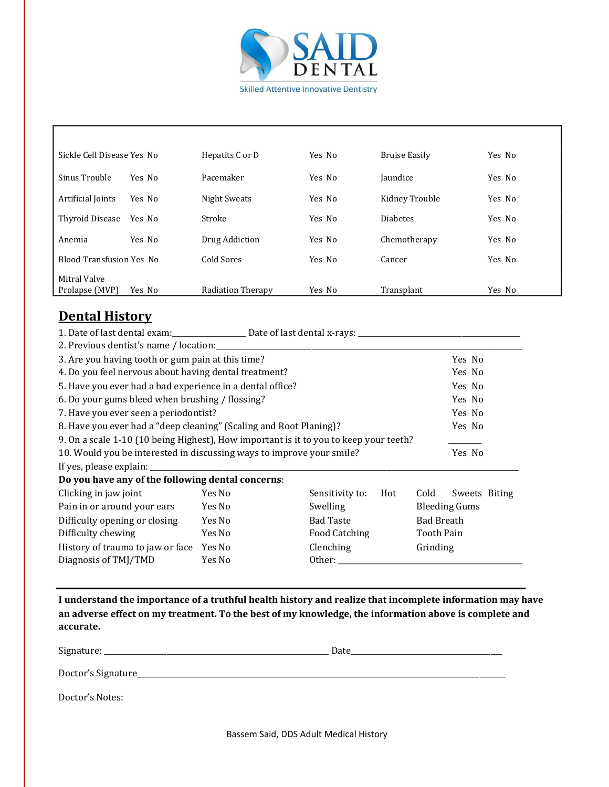

٦

| Sickle Cell Disease Yes No      |        | Hepatits C or D   | Yes No | Bruise Easily   | Yes No |
|---------------------------------|--------|-------------------|--------|-----------------|--------|
| Sinus Trouble                   | Yes No | Pacemaker         | Yes No | Jaundice        | Yes No |
| Artificial Joints               | Yes No | Night Sweats      | Yes No | Kidney Trouble  | Yes No |
| Thyroid Disease                 | Yes No | Stroke            | Yes No | <b>Diabetes</b> | Yes No |
| Anemia                          | Yes No | Drug Addiction    | Yes No | Chemotherapy    | Yes No |
| <b>Blood Transfusion Yes No</b> |        | Cold Sores        | Yes No | Cancer          | Yes No |
| Mitral Valve                    |        |                   |        |                 |        |
| Prolapse (MVP)                  | Yes No | Radiation Therapy | Yes No | Transplant      | Yes No |

### **Dental History**

| 3. Are you having tooth or gum pain at this time?<br>Yes No<br>4. Do you feel nervous about having dental treatment?<br>Yes No<br>5. Have you ever had a bad experience in a dental office?<br>Yes No<br>6. Do your gums bleed when brushing / flossing?<br>Yes No<br>7. Have you ever seen a periodontist?<br>Yes No<br>8. Have you ever had a "deep cleaning" (Scaling and Root Planing)?<br>Yes No<br>9. On a scale 1-10 (10 being Highest), How important is it to you to keep your teeth?<br>10. Would you be interested in discussing ways to improve your smile?<br>Yes No<br>Do you have any of the following dental concerns:<br>Clicking in jaw joint<br>Yes No<br>Sensitivity to:<br>Hot<br>Cold<br>Sweets Biting<br>Pain in or around your ears<br>Yes No<br>Swelling<br><b>Bleeding Gums</b><br>Difficulty opening or closing<br>Yes No<br><b>Bad Taste</b><br><b>Bad Breath</b><br>Difficulty chewing<br>Food Catching<br>Tooth Pain<br>Yes No<br>Clenching<br>History of trauma to jaw or face<br>Yes No<br>Grinding<br>Other: the contract of the contract of the contract of the contract of the contract of the contract of the contract of the contract of the contract of the contract of the contract of the contract of the contract of the con<br>Diagnosis of TMJ/TMD<br>Yes No | 1. Date of last dental exam: Date of last dental x-rays: _______________________ |  |  |  |  |  |  |
|---------------------------------------------------------------------------------------------------------------------------------------------------------------------------------------------------------------------------------------------------------------------------------------------------------------------------------------------------------------------------------------------------------------------------------------------------------------------------------------------------------------------------------------------------------------------------------------------------------------------------------------------------------------------------------------------------------------------------------------------------------------------------------------------------------------------------------------------------------------------------------------------------------------------------------------------------------------------------------------------------------------------------------------------------------------------------------------------------------------------------------------------------------------------------------------------------------------------------------------------------------------------------------------------------------|----------------------------------------------------------------------------------|--|--|--|--|--|--|
|                                                                                                                                                                                                                                                                                                                                                                                                                                                                                                                                                                                                                                                                                                                                                                                                                                                                                                                                                                                                                                                                                                                                                                                                                                                                                                         |                                                                                  |  |  |  |  |  |  |
|                                                                                                                                                                                                                                                                                                                                                                                                                                                                                                                                                                                                                                                                                                                                                                                                                                                                                                                                                                                                                                                                                                                                                                                                                                                                                                         |                                                                                  |  |  |  |  |  |  |
|                                                                                                                                                                                                                                                                                                                                                                                                                                                                                                                                                                                                                                                                                                                                                                                                                                                                                                                                                                                                                                                                                                                                                                                                                                                                                                         |                                                                                  |  |  |  |  |  |  |
|                                                                                                                                                                                                                                                                                                                                                                                                                                                                                                                                                                                                                                                                                                                                                                                                                                                                                                                                                                                                                                                                                                                                                                                                                                                                                                         |                                                                                  |  |  |  |  |  |  |
|                                                                                                                                                                                                                                                                                                                                                                                                                                                                                                                                                                                                                                                                                                                                                                                                                                                                                                                                                                                                                                                                                                                                                                                                                                                                                                         |                                                                                  |  |  |  |  |  |  |
|                                                                                                                                                                                                                                                                                                                                                                                                                                                                                                                                                                                                                                                                                                                                                                                                                                                                                                                                                                                                                                                                                                                                                                                                                                                                                                         |                                                                                  |  |  |  |  |  |  |
|                                                                                                                                                                                                                                                                                                                                                                                                                                                                                                                                                                                                                                                                                                                                                                                                                                                                                                                                                                                                                                                                                                                                                                                                                                                                                                         |                                                                                  |  |  |  |  |  |  |
|                                                                                                                                                                                                                                                                                                                                                                                                                                                                                                                                                                                                                                                                                                                                                                                                                                                                                                                                                                                                                                                                                                                                                                                                                                                                                                         |                                                                                  |  |  |  |  |  |  |
|                                                                                                                                                                                                                                                                                                                                                                                                                                                                                                                                                                                                                                                                                                                                                                                                                                                                                                                                                                                                                                                                                                                                                                                                                                                                                                         |                                                                                  |  |  |  |  |  |  |
|                                                                                                                                                                                                                                                                                                                                                                                                                                                                                                                                                                                                                                                                                                                                                                                                                                                                                                                                                                                                                                                                                                                                                                                                                                                                                                         |                                                                                  |  |  |  |  |  |  |
|                                                                                                                                                                                                                                                                                                                                                                                                                                                                                                                                                                                                                                                                                                                                                                                                                                                                                                                                                                                                                                                                                                                                                                                                                                                                                                         |                                                                                  |  |  |  |  |  |  |
|                                                                                                                                                                                                                                                                                                                                                                                                                                                                                                                                                                                                                                                                                                                                                                                                                                                                                                                                                                                                                                                                                                                                                                                                                                                                                                         |                                                                                  |  |  |  |  |  |  |
|                                                                                                                                                                                                                                                                                                                                                                                                                                                                                                                                                                                                                                                                                                                                                                                                                                                                                                                                                                                                                                                                                                                                                                                                                                                                                                         |                                                                                  |  |  |  |  |  |  |
|                                                                                                                                                                                                                                                                                                                                                                                                                                                                                                                                                                                                                                                                                                                                                                                                                                                                                                                                                                                                                                                                                                                                                                                                                                                                                                         |                                                                                  |  |  |  |  |  |  |
|                                                                                                                                                                                                                                                                                                                                                                                                                                                                                                                                                                                                                                                                                                                                                                                                                                                                                                                                                                                                                                                                                                                                                                                                                                                                                                         |                                                                                  |  |  |  |  |  |  |
|                                                                                                                                                                                                                                                                                                                                                                                                                                                                                                                                                                                                                                                                                                                                                                                                                                                                                                                                                                                                                                                                                                                                                                                                                                                                                                         |                                                                                  |  |  |  |  |  |  |
|                                                                                                                                                                                                                                                                                                                                                                                                                                                                                                                                                                                                                                                                                                                                                                                                                                                                                                                                                                                                                                                                                                                                                                                                                                                                                                         |                                                                                  |  |  |  |  |  |  |

**I** understand the importance of a truthful health history and realize that incomplete information may have an adverse effect on my treatment. To the best of my knowledge, the information above is complete and **accurate.**

Signature: \_\_\_\_\_\_\_\_\_\_\_\_\_\_\_\_\_\_\_\_\_\_\_\_\_\_\_\_\_\_\_\_\_\_\_\_\_\_\_\_\_\_\_\_\_\_\_\_\_\_\_\_\_\_\_\_\_\_\_\_\_ Date\_\_\_\_\_\_\_\_\_\_\_\_\_\_\_\_\_\_\_\_\_\_\_\_\_\_\_\_\_\_\_\_\_\_\_\_\_\_\_\_\_

Doctor's Signature\_\_\_\_\_\_\_\_\_\_\_\_\_\_\_\_\_\_\_\_\_\_\_\_\_\_\_\_\_\_\_\_\_\_\_\_\_\_\_\_\_\_\_\_\_\_\_\_\_\_\_\_\_\_\_\_\_\_\_\_\_\_\_\_\_\_\_\_\_\_\_\_\_\_\_\_\_\_\_\_\_\_\_\_\_\_\_\_\_\_\_\_\_\_\_\_\_\_\_\_

Doctor's Notes: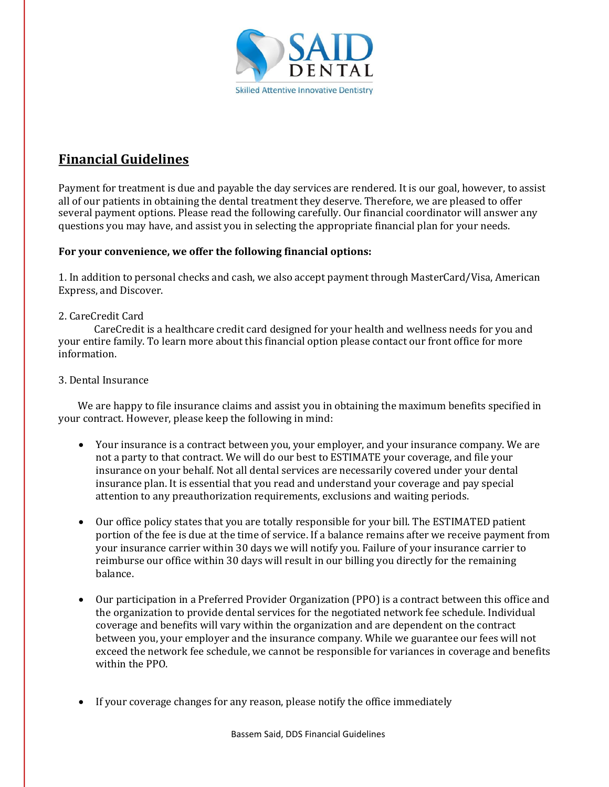

# **Financial Guidelines**

Payment for treatment is due and payable the day services are rendered. It is our goal, however, to assist all of our patients in obtaining the dental treatment they deserve. Therefore, we are pleased to offer several payment options. Please read the following carefully. Our financial coordinator will answer any questions you may have, and assist you in selecting the appropriate financial plan for your needs.

### For your convenience, we offer the following financial options:

1. In addition to personal checks and cash, we also accept payment through MasterCard/Visa, American Express, and Discover.

### 2. CareCredit Card

CareCredit is a healthcare credit card designed for your health and wellness needs for you and your entire family. To learn more about this financial option please contact our front office for more information.

### 3. Dental Insurance

We are happy to file insurance claims and assist you in obtaining the maximum benefits specified in your contract. However, please keep the following in mind:

- Your insurance is a contract between you, your employer, and your insurance company. We are not a party to that contract. We will do our best to ESTIMATE your coverage, and file your insurance on your behalf. Not all dental services are necessarily covered under your dental insurance plan. It is essential that you read and understand your coverage and pay special attention to any preauthorization requirements, exclusions and waiting periods.
- Our office policy states that you are totally responsible for your bill. The ESTIMATED patient portion of the fee is due at the time of service. If a balance remains after we receive payment from your insurance carrier within 30 days we will notify you. Failure of your insurance carrier to reimburse our office within 30 days will result in our billing you directly for the remaining balance.
- Our participation in a Preferred Provider Organization (PPO) is a contract between this office and the organization to provide dental services for the negotiated network fee schedule. Individual coverage and benefits will vary within the organization and are dependent on the contract between you, your employer and the insurance company. While we guarantee our fees will not exceed the network fee schedule, we cannot be responsible for variances in coverage and benefits within the PPO.
- If your coverage changes for any reason, please notify the office immediately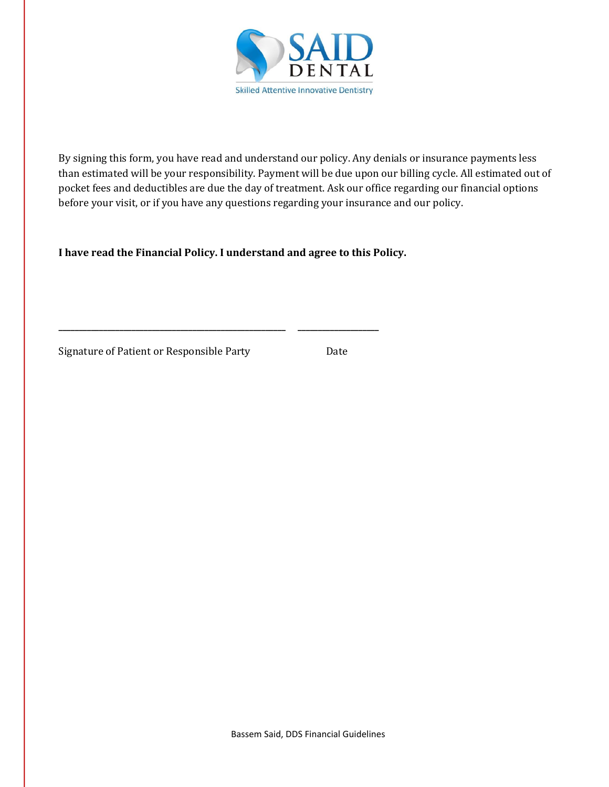

By signing this form, you have read and understand our policy. Any denials or insurance payments less than estimated will be your responsibility. Payment will be due upon our billing cycle. All estimated out of pocket fees and deductibles are due the day of treatment. Ask our office regarding our financial options before your visit, or if you have any questions regarding your insurance and our policy.

I have read the Financial Policy. I understand and agree to this Policy.

**\_\_\_\_\_\_\_\_\_\_\_\_\_\_\_\_\_\_\_\_\_\_\_\_\_\_\_\_\_\_\_\_\_\_\_\_\_\_\_\_\_\_\_\_\_\_\_\_\_\_\_\_\_\_\_\_ \_\_\_\_\_\_\_\_\_\_\_\_\_\_\_\_\_\_\_\_**

Signature of Patient or Responsible Party Date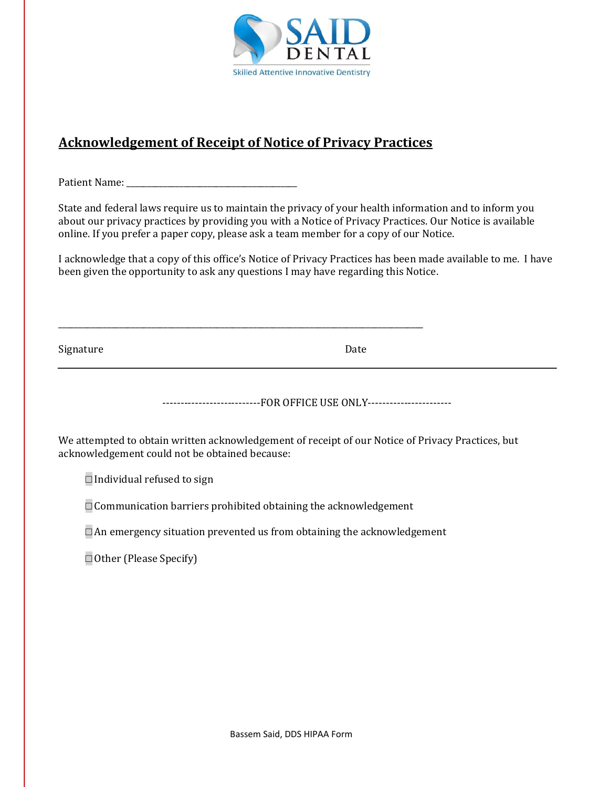

# **Acknowledgement of Receipt of Notice of Privacy Practices**

\_\_\_\_\_\_\_\_\_\_\_\_\_\_\_\_\_\_\_\_\_\_\_\_\_\_\_\_\_\_\_\_\_\_\_\_\_\_\_\_\_\_\_\_\_\_\_\_\_\_\_\_\_\_\_\_\_\_\_\_\_\_\_\_\_\_\_\_\_\_\_\_\_\_\_\_\_\_\_\_\_\_\_\_\_\_\_\_\_\_

Patient Name: \_\_\_\_\_\_\_\_\_\_\_\_\_\_\_\_\_\_\_\_\_\_\_\_\_\_\_\_\_\_\_\_\_\_\_\_\_\_\_\_\_\_

State and federal laws require us to maintain the privacy of your health information and to inform you about our privacy practices by providing you with a Notice of Privacy Practices. Our Notice is available online. If you prefer a paper copy, please ask a team member for a copy of our Notice.

I acknowledge that a copy of this office's Notice of Privacy Practices has been made available to me. I have been given the opportunity to ask any questions I may have regarding this Notice.

Signature Date

-----------------------------FOR OFFICE USE ONLY-------------------------

We attempted to obtain written acknowledgement of receipt of our Notice of Privacy Practices, but acknowledgement could not be obtained because:

 $\Box$  Individual refused to sign

□ Communication barriers prohibited obtaining the acknowledgement

 $\Box$  An emergency situation prevented us from obtaining the acknowledgement

□ Other (Please Specify)